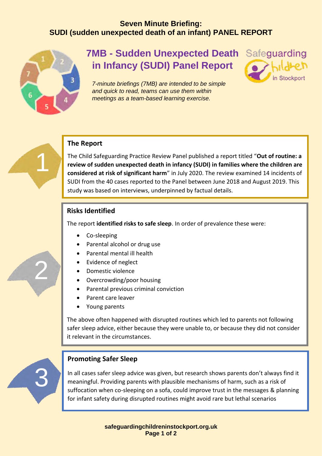# **Seven Minute Briefing: SUDI (sudden unexpected death of an infant) PANEL REPORT**



1

2

# **7MB - Sudden Unexpected Death in Infancy (SUDI) Panel Report**



*7-minute briefings (7MB) are intended to be simple and quick to read, teams can use them within meetings as a team-based learning exercise.*



The Child Safeguarding Practice Review Panel published a report titled "**Out of routine: a review of sudden unexpected death in infancy (SUDI) in families where the children are considered at risk of significant harm**" in July 2020. The review examined 14 incidents of SUDI from the 40 cases reported to the Panel between June 2018 and August 2019. This study was based on interviews, underpinned by factual details.

# **Risks Identified**

The report **identified risks to safe sleep**. In order of prevalence these were:

- Co-sleeping
- Parental alcohol or drug use
- Parental mental ill health
- Evidence of neglect
- Domestic violence
- Overcrowding/poor housing
- Parental previous criminal conviction
- Parent care leaver
- Young parents

The above often happened with disrupted routines which led to parents not following safer sleep advice, either because they were unable to, or because they did not consider it relevant in the circumstances.



# **Promoting Safer Sleep**

In all cases safer sleep advice was given, but research shows parents don't always find it meaningful. Providing parents with plausible mechanisms of harm, such as a risk of suffocation when co-sleeping on a sofa, could improve trust in the messages & planning for infant safety during disrupted routines might avoid rare but lethal scenarios